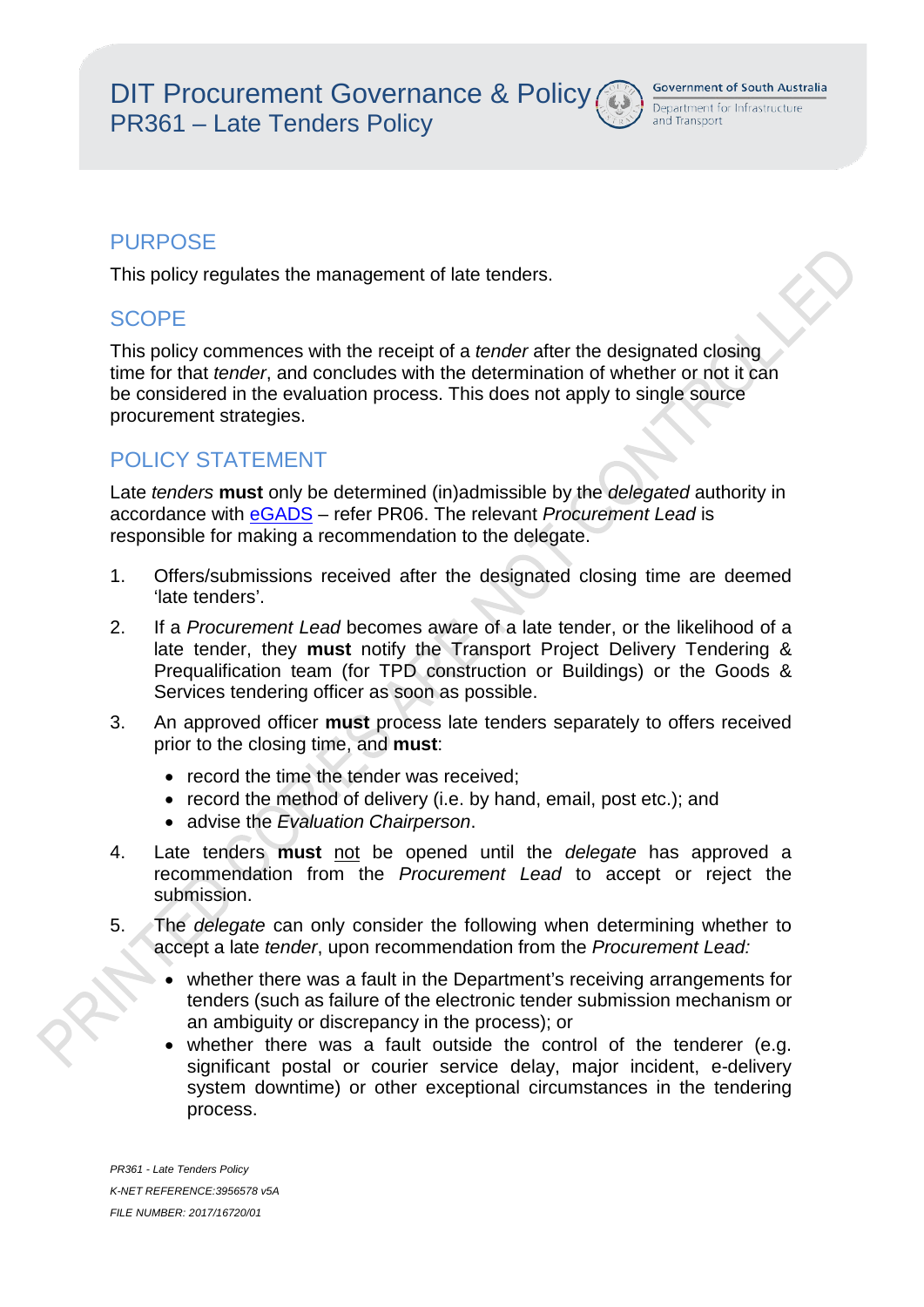and Transport

### PURPOSE

This policy regulates the management of late tenders.

### **SCOPE**

This policy commences with the receipt of a *tender* after the designated closing time for that *tender*, and concludes with the determination of whether or not it can be considered in the evaluation process. This does not apply to single source procurement strategies.

### POLICY STATEMENT

Late *tenders* **must** only be determined (in)admissible by the *delegated* authority in accordance with eGADS – refer PR06. The relevant *Procurement Lead* is responsible for making a recommendation to the delegate.

- 1. Offers/submissions received after the designated closing time are deemed 'late tenders'.
- 2. If a *Procurement Lead* becomes aware of a late tender, or the likelihood of a late tender, they **must** notify the Transport Project Delivery Tendering & Prequalification team (for TPD construction or Buildings) or the Goods & Services tendering officer as soon as possible.
- 3. An approved officer **must** process late tenders separately to offers received prior to the closing time, and **must**:
	- record the time the tender was received:
	- record the method of delivery (i.e. by hand, email, post etc.); and
	- advise the *Evaluation Chairperson*.
- 4. Late tenders **must** not be opened until the *delegate* has approved a recommendation from the *Procurement Lead* to accept or reject the submission.
- 5. The *delegate* can only consider the following when determining whether to accept a late *tender*, upon recommendation from the *Procurement Lead:*
	- whether there was a fault in the Department's receiving arrangements for tenders (such as failure of the electronic tender submission mechanism or an ambiguity or discrepancy in the process); or
	- whether there was a fault outside the control of the tenderer (e.g. significant postal or courier service delay, major incident, e-delivery system downtime) or other exceptional circumstances in the tendering process.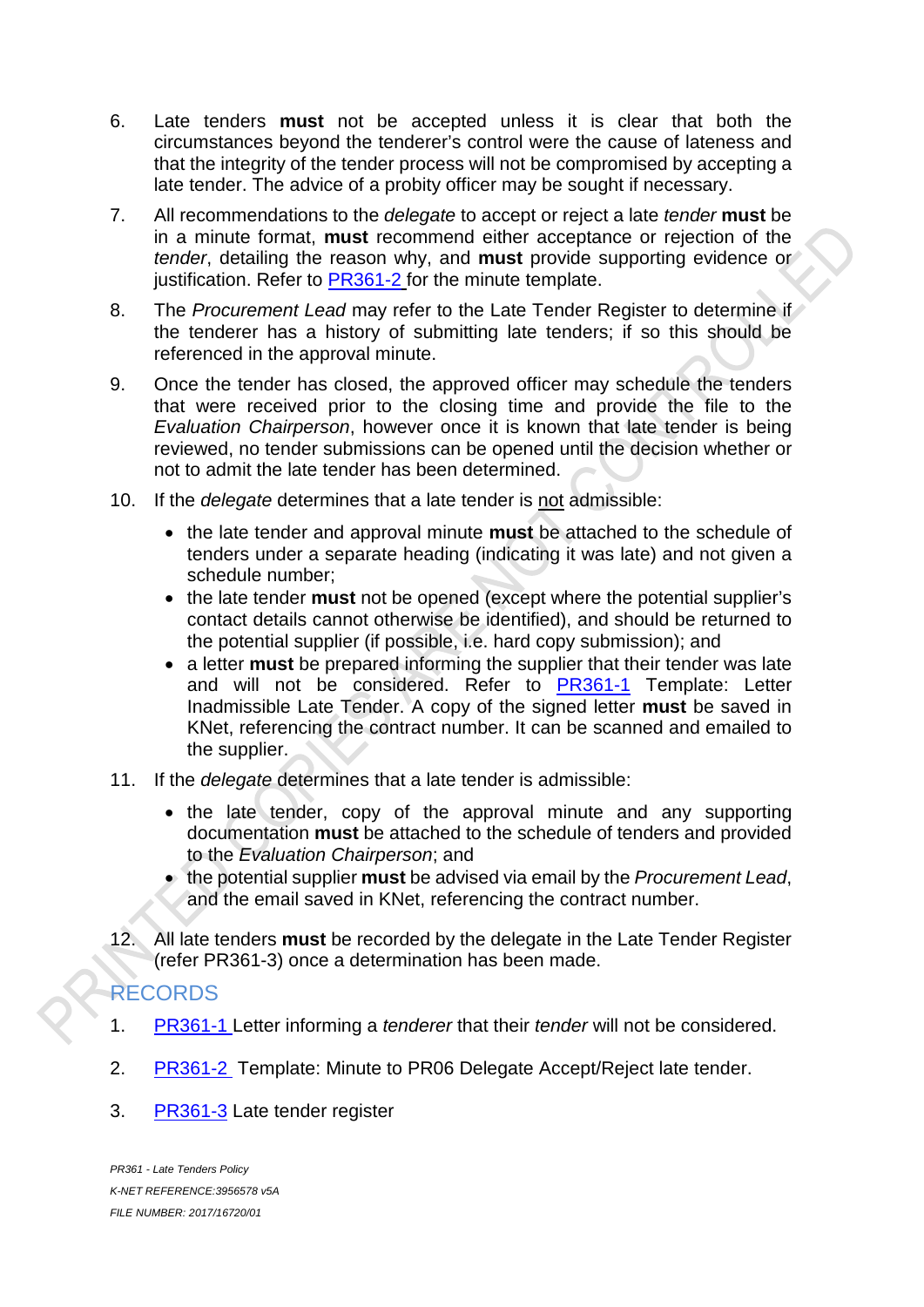- 6. Late tenders **must** not be accepted unless it is clear that both the circumstances beyond the tenderer's control were the cause of lateness and that the integrity of the tender process will not be compromised by accepting a late tender. The advice of a probity officer may be sought if necessary.
- 7. All recommendations to the *delegate* to accept or reject a late *tender* **must** be in a minute format, **must** recommend either acceptance or rejection of the *tender*, detailing the reason why, and **must** provide supporting evidence or justification. Refer to PR361-2 for the minute template.
- 8. The *Procurement Lead* may refer to the Late Tender Register to determine if the tenderer has a history of submitting late tenders; if so this should be referenced in the approval minute.
- 9. Once the tender has closed, the approved officer may schedule the tenders that were received prior to the closing time and provide the file to the *Evaluation Chairperson*, however once it is known that late tender is being reviewed, no tender submissions can be opened until the decision whether or not to admit the late tender has been determined.
- 10. If the *delegate* determines that a late tender is not admissible:
	- the late tender and approval minute **must** be attached to the schedule of tenders under a separate heading (indicating it was late) and not given a schedule number;
	- the late tender **must** not be opened (except where the potential supplier's contact details cannot otherwise be identified), and should be returned to the potential supplier (if possible, i.e. hard copy submission); and
	- a letter **must** be prepared informing the supplier that their tender was late and will not be considered. Refer to PR361-1 Template: Letter Inadmissible Late Tender. A copy of the signed letter **must** be saved in KNet, referencing the contract number. It can be scanned and emailed to the supplier.
- 11. If the *delegate* determines that a late tender is admissible:
	- the late tender, copy of the approval minute and any supporting documentation **must** be attached to the schedule of tenders and provided to the *Evaluation Chairperson*; and
	- the potential supplier **must** be advised via email by the *Procurement Lead*, and the email saved in KNet, referencing the contract number.
- 12. All late tenders **must** be recorded by the delegate in the Late Tender Register (refer PR361-3) once a determination has been made.

# RECORDS

- 1. PR361-1 Letter informing a *tenderer* that their *tender* will not be considered.
- 2. PR361-2 Template: Minute to PR06 Delegate Accept/Reject late tender.
- 3. [PR361-3](http://knet.dpti.sa.gov.au/sagovt.asp?show=14767211) Late tender register

*PR361 - Late Tenders Policy K-NET REFERENCE:3956578 v5A FILE NUMBER: 2017/16720/01*